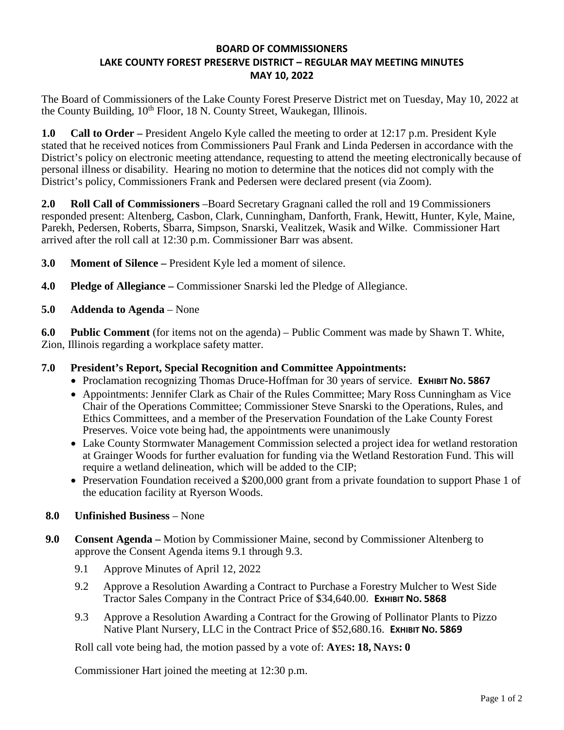## **BOARD OF COMMISSIONERS LAKE COUNTY FOREST PRESERVE DISTRICT – REGULAR MAY MEETING MINUTES MAY 10, 2022**

The Board of Commissioners of the Lake County Forest Preserve District met on Tuesday, May 10, 2022 at the County Building,  $10^{th}$  Floor, 18 N. County Street, Waukegan, Illinois.

**1.0 Call to Order –** President Angelo Kyle called the meeting to order at 12:17 p.m. President Kyle stated that he received notices from Commissioners Paul Frank and Linda Pedersen in accordance with the District's policy on electronic meeting attendance, requesting to attend the meeting electronically because of personal illness or disability. Hearing no motion to determine that the notices did not comply with the District's policy, Commissioners Frank and Pedersen were declared present (via Zoom).

**2.0 Roll Call of Commissioners** –Board Secretary Gragnani called the roll and 19 Commissioners responded present: Altenberg, Casbon, Clark, Cunningham, Danforth, Frank, Hewitt, Hunter, Kyle, Maine, Parekh, Pedersen, Roberts, Sbarra, Simpson, Snarski, Vealitzek, Wasik and Wilke. Commissioner Hart arrived after the roll call at 12:30 p.m. Commissioner Barr was absent.

**3.0 Moment of Silence –** President Kyle led a moment of silence.

- **4.0 Pledge of Allegiance** Commissioner Snarski led the Pledge of Allegiance.
- **5.0 Addenda to Agenda** None

**6.0 Public Comment** (for items not on the agenda) – Public Comment was made by Shawn T. White, Zion, Illinois regarding a workplace safety matter.

## **7.0 President's Report, Special Recognition and Committee Appointments:**

- Proclamation recognizing Thomas Druce-Hoffman for 30 years of service. **EXHIBIT NO. 5867**
- Appointments: Jennifer Clark as Chair of the Rules Committee; Mary Ross Cunningham as Vice Chair of the Operations Committee; Commissioner Steve Snarski to the Operations, Rules, and Ethics Committees, and a member of the Preservation Foundation of the Lake County Forest Preserves. Voice vote being had, the appointments were unanimously
- Lake County Stormwater Management Commission selected a project idea for wetland restoration at Grainger Woods for further evaluation for funding via the Wetland Restoration Fund. This will require a wetland delineation, which will be added to the CIP;
- Preservation Foundation received a \$200,000 grant from a private foundation to support Phase 1 of the education facility at Ryerson Woods.

## **8.0 Unfinished Business** – None

- **9.0 Consent Agenda** Motion by Commissioner Maine, second by Commissioner Altenberg to approve the Consent Agenda items 9.1 through 9.3.
	- 9.1 Approve Minutes of April 12, 2022
	- 9.2 Approve a Resolution Awarding a Contract to Purchase a Forestry Mulcher to West Side Tractor Sales Company in the Contract Price of \$34,640.00. **EXHIBIT NO. 5868**
	- 9.3 Approve a Resolution Awarding a Contract for the Growing of Pollinator Plants to Pizzo Native Plant Nursery, LLC in the Contract Price of \$52,680.16. **EXHIBIT NO. 5869**

Roll call vote being had, the motion passed by a vote of: **AYES: 18, NAYS: 0** 

Commissioner Hart joined the meeting at 12:30 p.m.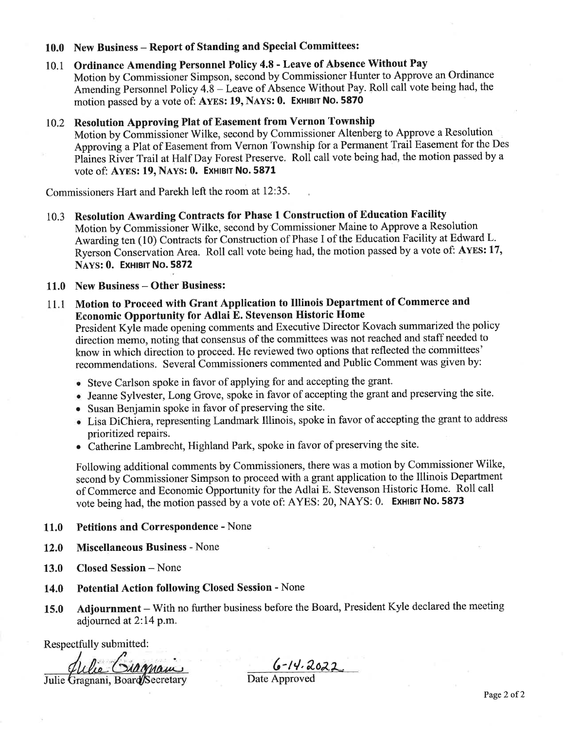#### 10.0 New Business - Report of Standing and Special Committees:

Ordinance Amending Personnel Policy 4.8 - Leave of Absence Without Pay 10.1 Motion by Commissioner Simpson, second by Commissioner Hunter to Approve an Ordinance Amending Personnel Policy 4.8 – Leave of Absence Without Pay. Roll call vote being had, the motion passed by a vote of: AYES: 19, NAYS: 0. EXHIBIT NO. 5870

#### 10.2 Resolution Approving Plat of Easement from Vernon Township

Motion by Commissioner Wilke, second by Commissioner Altenberg to Approve a Resolution Approving a Plat of Easement from Vernon Township for a Permanent Trail Easement for the Des Plaines River Trail at Half Day Forest Preserve. Roll call vote being had, the motion passed by a vote of: AYES: 19, NAYS: 0. EXHIBIT NO. 5871

Commissioners Hart and Parekh left the room at 12:35.

Resolution Awarding Contracts for Phase 1 Construction of Education Facility 10.3 Motion by Commissioner Wilke, second by Commissioner Maine to Approve a Resolution Awarding ten (10) Contracts for Construction of Phase I of the Education Facility at Edward L. Ryerson Conservation Area. Roll call vote being had, the motion passed by a vote of: AYES: 17, NAYS: 0. EXHIBIT NO. 5872

#### 11.0 New Business – Other Business:

Motion to Proceed with Grant Application to Illinois Department of Commerce and 11.1 **Economic Opportunity for Adlai E. Stevenson Historic Home** 

President Kyle made opening comments and Executive Director Kovach summarized the policy direction memo, noting that consensus of the committees was not reached and staff needed to know in which direction to proceed. He reviewed two options that reflected the committees' recommendations. Several Commissioners commented and Public Comment was given by:

- Steve Carlson spoke in favor of applying for and accepting the grant.
- · Jeanne Sylvester, Long Grove, spoke in favor of accepting the grant and preserving the site.
- Susan Benjamin spoke in favor of preserving the site.
- Lisa DiChiera, representing Landmark Illinois, spoke in favor of accepting the grant to address prioritized repairs.
- Catherine Lambrecht, Highland Park, spoke in favor of preserving the site.

Following additional comments by Commissioners, there was a motion by Commissioner Wilke, second by Commissioner Simpson to proceed with a grant application to the Illinois Department of Commerce and Economic Opportunity for the Adlai E. Stevenson Historic Home. Roll call vote being had, the motion passed by a vote of: AYES: 20, NAYS: 0. EXHIBIT NO. 5873

#### **Petitions and Correspondence - None** 11.0

- **Miscellaneous Business None** 12.0
- 13.0 **Closed Session - None**
- **Potential Action following Closed Session None 14.0**
- Adjournment With no further business before the Board, President Kyle declared the meeting 15.0 adjourned at 2:14 p.m.

Respectfully submitted:

siagram Julie Gragnani, Board Secretary

 $6 - 14.2022$ 

Date Approved